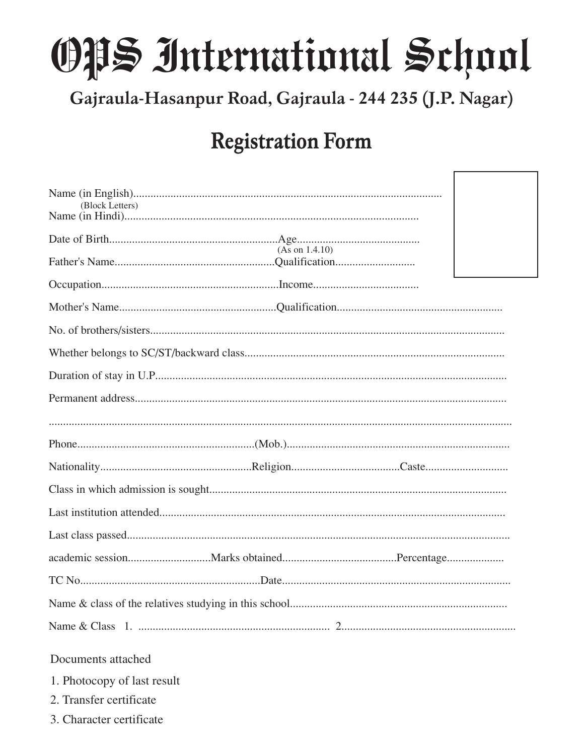## OPS International School

Gajraula-Hasanpur Road, Gajraula - 244 235 (J.P. Nagar)

## **Registration Form**

I

| (Block Letters)             |  |
|-----------------------------|--|
|                             |  |
| (As on 1.4.10)              |  |
|                             |  |
|                             |  |
|                             |  |
|                             |  |
|                             |  |
|                             |  |
|                             |  |
|                             |  |
|                             |  |
|                             |  |
|                             |  |
|                             |  |
|                             |  |
|                             |  |
|                             |  |
|                             |  |
| Documents attached          |  |
| 1. Photocopy of last result |  |
| 2. Transfer certificate     |  |
| 3. Character certificate    |  |